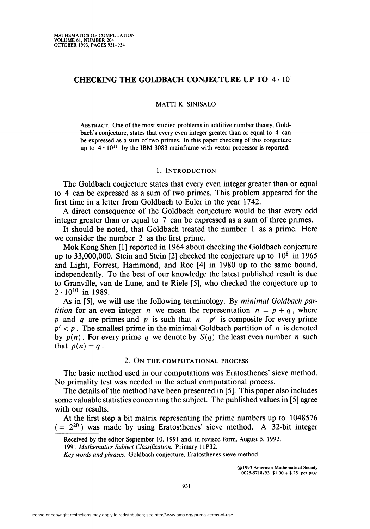# CHECKING THE GOLDBACH CONJECTURE UP TO 4 • 1011

#### MATTI K. SINISALO

Abstract. One of the most studied problems in additive number theory, Goldbach's conjecture, states that every even integer greater than or equal to 4 can be expressed as a sum of two primes. In this paper checking of this conjecture up to  $4 \cdot 10^{11}$  by the IBM 3083 mainframe with vector processor is reported.

# 1. Introduction

The Goldbach conjecture states that every even integer greater than or equal to 4 can be expressed as a sum of two primes. This problem appeared for the first time in a letter from Goldbach to Euler in the year 1742.

A direct consequence of the Goldbach conjecture would be that every odd integer greater than or equal to 7 can be expressed as a sum of three primes.

It should be noted, that Goldbach treated the number 1 as a prime. Here we consider the number 2 as the first prime.

Mok Kong Shen [1] reported in 1964 about checking the Goldbach conjecture up to 33,000,000. Stein and Stein [2] checked the conjecture up to  $10^8$  in 1965 and Light, Forrest, Hammond, and Roe [4] in 1980 up to the same bound, independently. To the best of our knowledge the latest published result is due to Granville, van de Lune, and te Riele [5], who checked the conjecture up to  $2 \cdot 10^{10}$  in 1989.

As in [5], we will use the following terminology. By *minimal Goldbach par*tition for an even integer n we mean the representation  $n = p + q$ , where p and q are primes and p is such that  $n - p'$  is composite for every prime  $p' < p$ . The smallest prime in the minimal Goldbach partition of n is denoted by  $p(n)$ . For every prime q we denote by  $S(q)$  the least even number n such that  $p(n) = q$ .

# 2. On the computational process

The basic method used in our computations was Eratosthenes' sieve method. No primality test was needed in the actual computational process.

The details of the method have been presented in [5]. This paper also includes some valuable statistics concerning the subject. The published values in [5] agree with our results.

At the first step a bit matrix representing the prime numbers up to 1048576  $( = 2<sup>20</sup>)$  was made by using Eratosthenes' sieve method. A 32-bit integer

Key words and phrases. Goldbach conjecture, Eratosthenes sieve method.

© 1993 American Mathematical Society  $0025 - 5718/93$  \$1.00 + \$.25 per page

Received by the editor September 10, 1991 and, in revised form, August 5, 1992.

<sup>1991</sup> Mathematics Subject Classification. Primary 11P32.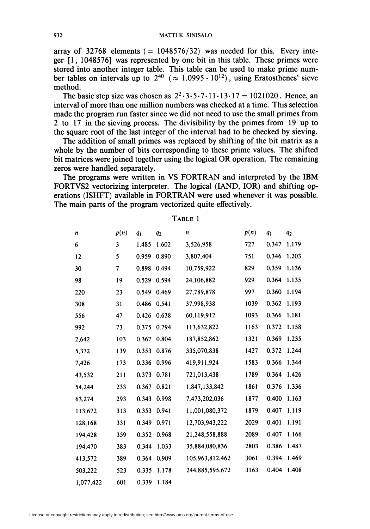array of  $32768$  elements (= 1048576/32) was needed for this. Every integer [1, 1048576] was represented by one bit in this table. These primes were stored into another integer table. This table can be used to make prime number tables on intervals up to  $2^{40}$  ( $\approx 1.0995 \cdot 10^{12}$ ), using Eratosthenes' sieve method.

The basic step size was chosen as  $2^2 \cdot 3 \cdot 5 \cdot 7 \cdot 11 \cdot 13 \cdot 17 = 1021020$ . Hence, an interval of more than one million numbers was checked at a time. This selection made the program run faster since we did not need to use the small primes from 2 to 17 in the sieving process. The divisibility by the primes from 19 up to the square root of the last integer of the interval had to be checked by sieving.

The addition of small primes was replaced by shifting of the bit matrix as a whole by the number of bits corresponding to these prime values. The shifted bit matrices were joined together using the logical OR operation. The remaining zeros were handled separately.

The programs were written in VS FORTRAN and interpreted by the IBM FORTVS2 vectorizing interpreter. The logical (IAND, IOR) and shifting operations (ISHFT) available in FORTRAN were used whenever it was possible. The main parts of the program vectorized quite effectively.

| n         | p(n) | $q_1$ | q <sub>2</sub> | n               | p(n) | $q_1$ | q <sub>2</sub> |
|-----------|------|-------|----------------|-----------------|------|-------|----------------|
| 6         | 3    | 1.485 | 1.602          | 3,526,958       | 727  | 0.347 | 1.179          |
| 12        | 5    | 0.959 | 0.890          | 3,807,404       | 751  | 0.346 | 1.203          |
| 30        | 7    | 0.898 | 0.494          | 10,759,922      | 829  | 0.359 | 1.136          |
| 98        | 19   | 0.529 | 0.594          | 24,106,882      | 929  | 0.364 | 1.135          |
| 220       | 23   | 0.549 | 0.469          | 27,789,878      | 997  | 0.360 | 1.194          |
| 308       | 31   | 0.486 | 0.541          | 37,998,938      | 1039 | 0.362 | 1.193          |
| 556       | 47   | 0.426 | 0.638          | 60,119,912      | 1093 | 0.366 | 1.181          |
| 992       | 73   | 0.375 | 0.794          | 113,632,822     | 1163 | 0.372 | 1.158          |
| 2,642     | 103  | 0.367 | 0.804          | 187,852,862     | 1321 | 0.369 | 1.235          |
| 5,372     | 139  | 0.353 | 0.876          | 335,070,838     | 1427 | 0.372 | 1.244          |
| 7,426     | 173  | 0.336 | 0.996          | 419,911,924     | 1583 | 0.366 | 1.344          |
| 43,532    | 211  | 0.373 | 0.781          | 721,013,438     | 1789 | 0.364 | 1.426          |
| 54,244    | 233  | 0.367 | 0.821          | 1,847,133,842   | 1861 | 0.376 | 1.336          |
| 63,274    | 293  | 0.343 | 0.998          | 7,473,202,036   | 1877 | 0.400 | 1.163          |
| 113,672   | 313  | 0.353 | 0.941          | 11,001,080,372  | 1879 | 0.407 | 1.119          |
| 128,168   | 331  | 0.349 | 0.971          | 12,703,943,222  | 2029 | 0.401 | 1.191          |
| 194,428   | 359  | 0.352 | 0.968          | 21,248,558,888  | 2089 | 0.407 | 1.166          |
| 194,470   | 383  | 0.344 | 1.033          | 35,884,080,836  | 2803 | 0.386 | 1.487          |
| 413,572   | 389  | 0.364 | 0.909          | 105,963,812,462 | 3061 | 0.394 | 1.469          |
| 503,222   | 523  | 0.335 | 1.178          | 244,885,595,672 | 3163 | 0.404 | 1.408          |
| 1,077,422 | 601  | 0.339 | 1.184          |                 |      |       |                |

# TABLE 1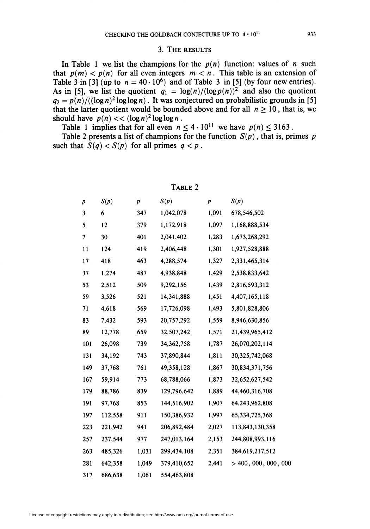### 3. The results

In Table 1 we list the champions for the  $p(n)$  function: values of *n* such that  $p(m) < p(n)$  for all even integers  $m < n$ . This table is an extension of Table 3 in [3] (up to  $n = 40 \cdot 10^6$ ) and of Table 3 in [5] (by four new entries). As in [5], we list the quotient  $q_1 = \log(n)/(\log p(n))^2$  and also the quotient  $q_2 = p(n)/((\log n)^2 \log \log n)$ . It was conjectured on probabilistic grounds in [5] that the latter quotient would be bounded above and for all  $n \ge 10$ , that is, we should have  $p(n) \ll (\log n)^2 \log \log n$ .

Table 1 implies that for all even  $n \leq 4 \cdot 10^{11}$  we have  $p(n) \leq 3163$ .

Table 2 presents a list of champions for the function  $S(p)$ , that is, primes p such that  $S(q) < S(p)$  for all primes  $q < p$ .

| p   | S(p)    | p     | S(p)         | p     | S(p)                 |
|-----|---------|-------|--------------|-------|----------------------|
| 3   | 6       | 347   | 1,042,078    | 1,091 | 678,546,502          |
| 5   | 12      | 379   | 1,172,918    | 1,097 | 1,168,888,534        |
| 7   | 30      | 401   | 2,041,402    | 1,283 | 1,673,268,292        |
| 11  | 124     | 419   | 2,406,448    | 1,301 | 1,927,528,888        |
| 17  | 418     | 463   | 4,288,574    | 1,327 | 2,331,465,314        |
| 37  | 1,274   | 487   | 4,938,848    | 1,429 | 2,538,833,642        |
| 53  | 2,512   | 509   | 9,292,156    | 1,439 | 2,816,593,312        |
| 59  | 3,526   | 521   | 14,341,888   | 1,451 | 4,407,165,118        |
| 71  | 4,618   | 569   | 17,726,098   | 1,493 | 5,801,828,806        |
| 83  | 7,432   | 593   | 20,757,292   | 1,559 | 8,946,630,856        |
| 89  | 12,778  | 659   | 32,507,242   | 1,571 | 21,439,965,412       |
| 101 | 26,098  | 739   | 34, 362, 758 | 1,787 | 26,070,202,114       |
| 131 | 34,192  | 743   | 37,890,844   | 1,811 | 30, 325, 742, 068    |
| 149 | 37,768  | 761   | 49,358,128   | 1,867 | 30,834,371,756       |
| 167 | 59,914  | 773   | 68,788,066   | 1,873 | 32,652,627,542       |
| 179 | 88,786  | 839   | 129,796,642  | 1,889 | 44,460,316,708       |
| 191 | 97,768  | 853   | 144,516,902  | 1,907 | 64,243,962,808       |
| 197 | 112,558 | 911   | 150,386,932  | 1,997 | 65, 334, 725, 368    |
| 223 | 221,942 | 941   | 206,892,484  | 2,027 | 113,843,130,358      |
| 257 | 237,544 | 977   | 247,013,164  | 2,153 | 244,808,993,116      |
| 263 | 485,326 | 1,031 | 299,434,108  | 2,351 | 384,619,217,512      |
| 281 | 642,358 | 1,049 | 379,410,652  | 2,441 | > 400, 000, 000, 000 |
| 317 | 686,638 | 1,061 | 554,463,808  |       |                      |

# Table 2